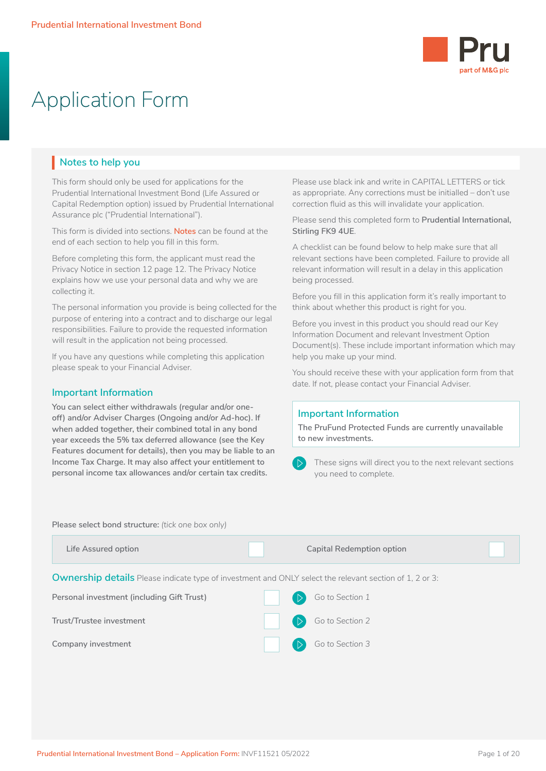

# Application Form

## **Notes to help you**

This form should only be used for applications for the Prudential International Investment Bond (Life Assured or Capital Redemption option) issued by Prudential International Assurance plc ("Prudential International").

This form is divided into sections. **Notes** can be found at the end of each section to help you fill in this form.

Before completing this form, the applicant must read the Privacy Notice in section 12 page 12. The Privacy Notice explains how we use your personal data and why we are collecting it.

The personal information you provide is being collected for the purpose of entering into a contract and to discharge our legal responsibilities. Failure to provide the requested information will result in the application not being processed.

If you have any questions while completing this application please speak to your Financial Adviser.

### **Important Information**

**You can select either withdrawals (regular and/or oneoff) and/or Adviser Charges (Ongoing and/or Ad-hoc). If when added together, their combined total in any bond year exceeds the 5% tax deferred allowance (see the Key Features document for details), then you may be liable to an Income Tax Charge. It may also affect your entitlement to personal income tax allowances and/or certain tax credits.** 

Please use black ink and write in CAPITAL LETTERS or tick as appropriate. Any corrections must be initialled – don't use correction fluid as this will invalidate your application.

Please send this completed form to **Prudential International, Stirling FK9 4UE**.

A checklist can be found below to help make sure that all relevant sections have been completed. Failure to provide all relevant information will result in a delay in this application being processed.

Before you fill in this application form it's really important to think about whether this product is right for you.

Before you invest in this product you should read our Key Information Document and relevant Investment Option Document(s). These include important information which may help you make up your mind.

You should receive these with your application form from that date. If not, please contact your Financial Adviser.

## **Important Information**

**The PruFund Protected Funds are currently unavailable to new investments.**

 These signs will direct you to the next relevant sections you need to complete.

**Please select bond structure:** *(tick one box only)*

| Life Assured option                                                                                            | <b>Capital Redemption option</b> |  |
|----------------------------------------------------------------------------------------------------------------|----------------------------------|--|
| <b>Ownership details</b> Please indicate type of investment and ONLY select the relevant section of 1, 2 or 3: |                                  |  |
| Personal investment (including Gift Trust)                                                                     | Go to Section 1                  |  |
| Trust/Trustee investment                                                                                       | Go to Section 2                  |  |
| Company investment                                                                                             | Go to Section 3                  |  |
|                                                                                                                |                                  |  |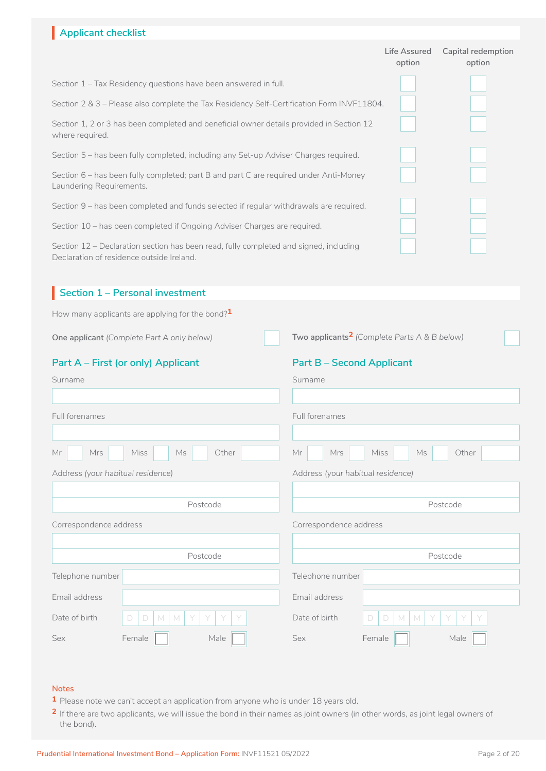## **Life Assured Capital redemption option option** Section 1 – Tax Residency questions have been answered in full. Section 2 & 3 – Please also complete the Tax Residency Self-Certification Form INVF11804. Section 1, 2 or 3 has been completed and beneficial owner details provided in Section 12 where required. Section 5 – has been fully completed, including any Set-up Adviser Charges required. Section 6 – has been fully completed; part B and part C are required under Anti-Money **Applicant checklist** I  $\Box$  $\Box$  $\Box$  $\Box$ □ □

Section 9 – has been completed and funds selected if regular withdrawals are required.

Section 10 – has been completed if Ongoing Adviser Charges are required.

Laundering Requirements.

Section 12 – Declaration section has been read, fully completed and signed, including Declaration of residence outside Ireland.

## **Section 1 – Personal investment** How many applicants are applying for the bond?**1 Part A – First (or only) Applicant Part B – Second Applicant One applicant** *(Complete Part A only below)* **Two applicants<sup>2</sup>** *(Complete Parts A & B below)* Surname Full forenames Mr Mrs Miss Ms Other Sex Female Male Telephone number Email address Date of birth D D M M Y Y Y Y Address *(your habitual residence)* Postcode Correspondence address Postcode Surname Full forenames Mr | Mrs | Miss | Ms | Other Sex Female **Male** Telephone number Email address Date of birth D D M M Y Y Y Y Address *(your habitual residence)* Postcode Correspondence address Postcode Mrs Miss Ms  $D D M M Y Y Y$  $Male$ □ [ ITI IT I I'  $Male$ □

### **Notes**

- **1** Please note we can't accept an application from anyone who is under 18 years old.
- **2** If there are two applicants, we will issue the bond in their names as joint owners (in other words, as joint legal owners of the bond).

n n

 $\Box$ 

 $\Box$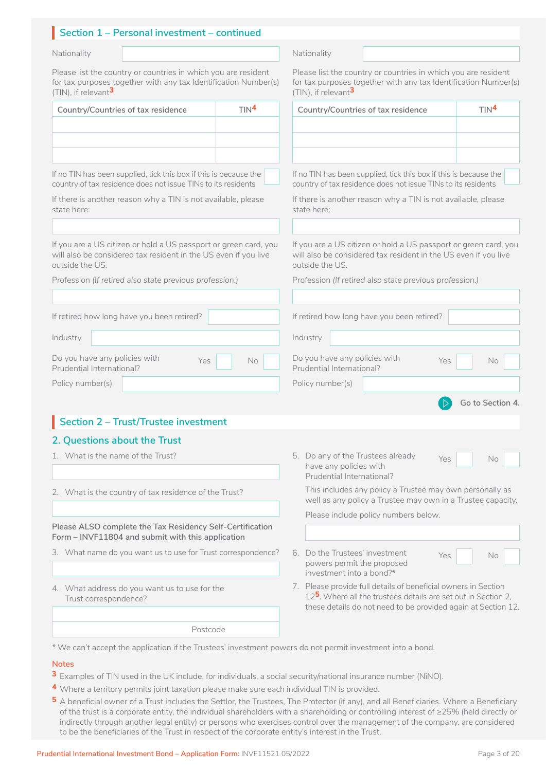### Section 1 – Personal investment – continued Nationality Nationality

Please list the country or countries in which you are resident for tax purposes together with any tax Identification Number(s) (TIN), if relevant**3**

| Country/Countries of tax residence | TIN <sup>4</sup> |
|------------------------------------|------------------|
|                                    |                  |
|                                    |                  |
|                                    |                  |

If no TIN has been supplied, tick this box if this is because the country of tax residence does not issue TINs to its residents If no TIN has been supplied, tick this box if this is because the country of tax residence does not issue TINs to its residents

If there is another reason why a TIN is not available, please state here:

If you are a US citizen or hold a US passport or green card, you will also be considered tax resident in the US even if you live outside the US.

Profession *(If retired also state previous profession.)*

|  |  |  | If retired how long have you been retired? |  |
|--|--|--|--------------------------------------------|--|

Industry

Do you have any policies with  $Y_{\text{ES}}$  No Prudential International?

Policy number(s)

## **Section 2 – Trust/Trustee investment** I

## **2. Questions about the Trust**

- 1. What is the name of the Trust?
- 2. What is the country of tax residence of the Trust?

**Please ALSO complete the Tax Residency Self-Certification Form – INVF11804 and submit with this application**

3. What name do you want us to use for Trust correspondence?

4. What address do you want us to use for the Trust correspondence?

5. Do any of the Trustees already  $Y_{\text{es}}$  No have any policies with Prudential International?

 $N$ o

**Go to Section 4.**

This includes any policy a Trustee may own personally as well as any policy a Trustee may own in a Trustee capacity.

Please list the country or countries in which you are resident for tax purposes together with any tax Identification Number(s)

**Country/Countries of tax residence TIN4**

 $\vdash$ 

If there is another reason why a TIN is not available, please

If you are a US citizen or hold a US passport or green card, you will also be considered tax resident in the US even if you live

l ndustry and the contract of the contract of the contract of the contract of the contract of the contract of the contract of the contract of the contract of the contract of the contract of the contract of the contract of

country of tax residence does not issue TINs to its residents

Profession *(If retired also state previous profession.)*

If retired how long have you been retired?

No Do you have any policies with Yes No No Prudential International?

(TIN), if relevant**3**

state here:

outside the US.

Industry

Policy number(s)

Prudential International?

Please include policy numbers below.

- 6. Do the Trustees' investment  $Y_{\text{es}}$  No powers permit the proposed investment into a bond?\* l  $\Box$  No  $\Box$
- 7. Please provide full details of beneficial owners in Section 12**5**. Where all the trustees details are set out in Section 2, these details do not need to be provided again at Section 12.

Postcode

\* We can't accept the application if the Trustees' investment powers do not permit investment into a bond.

#### **Notes**

- **3** Examples of TIN used in the UK include, for individuals, a social security/national insurance number (NiNO).
- **4** Where a territory permits joint taxation please make sure each individual TIN is provided.
- **5** A beneficial owner of a Trust includes the Settlor, the Trustees, The Protector (if any), and all Beneficiaries. Where a Beneficiary of the trust is a corporate entity, the individual shareholders with a shareholding or controlling interest of ≥25% (held directly or indirectly through another legal entity) or persons who exercises control over the management of the company, are considered to be the beneficiaries of the Trust in respect of the corporate entity's interest in the Trust.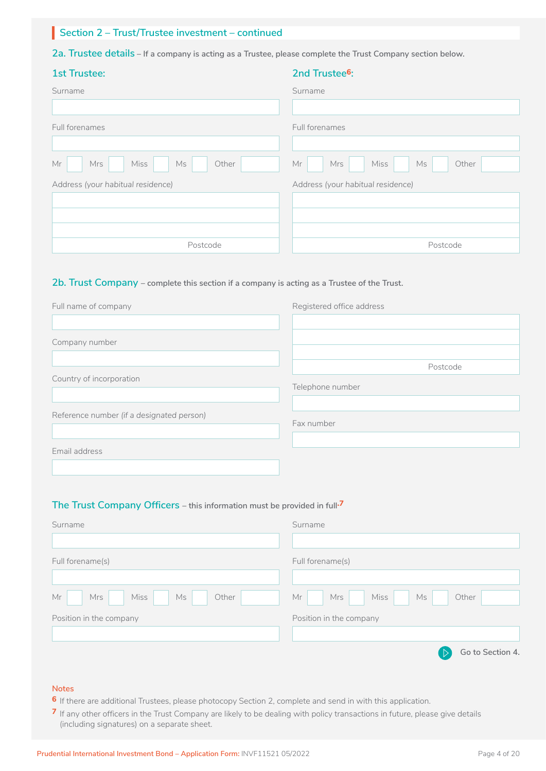## **Section 2 – Trust/Trustee investment – continued** I

**2a. Trustee details – If a company is acting as a Trustee, please complete the Trust Company section below.**

| <b>1st Trustee:</b>               | 2nd Trustee <sup>6</sup> :        |
|-----------------------------------|-----------------------------------|
| Surname                           | Surname                           |
|                                   |                                   |
| Full forenames                    | Full forenames                    |
|                                   |                                   |
| Miss<br>Ms<br>Mrs<br>Other<br>Mr  | Miss<br>Ms<br>Other<br>Mr<br>Mrs  |
| Address (your habitual residence) | Address (your habitual residence) |
|                                   |                                   |
|                                   |                                   |
|                                   |                                   |
| Postcode                          | Postcode                          |

#### **2b. Trust Company – complete this section if a company is acting as a Trustee of the Trust.**

| Full name of company                      | Registered office address |
|-------------------------------------------|---------------------------|
|                                           |                           |
| Company number                            |                           |
|                                           |                           |
|                                           | Postcode                  |
| Country of incorporation                  | Telephone number          |
|                                           |                           |
| Reference number (if a designated person) |                           |
|                                           | Fax number                |
|                                           |                           |
| Email address                             |                           |
|                                           |                           |

#### **The Trust Company Officers – this information must be provided in full.7**

| Surname                          | Surname                              |
|----------------------------------|--------------------------------------|
| Full forename(s)                 | Full forename(s)                     |
|                                  |                                      |
| Miss<br>Other<br>Mr<br>Mrs<br>Ms | Miss<br>Mr<br>Mrs<br>Other<br>Ms     |
| Position in the company          | Position in the company              |
|                                  | Go to Section 4.<br>$\triangleright$ |
|                                  |                                      |

## **Notes**

- **6** If there are additional Trustees, please photocopy Section 2, complete and send in with this application.
- **7** If any other officers in the Trust Company are likely to be dealing with policy transactions in future, please give details (including signatures) on a separate sheet.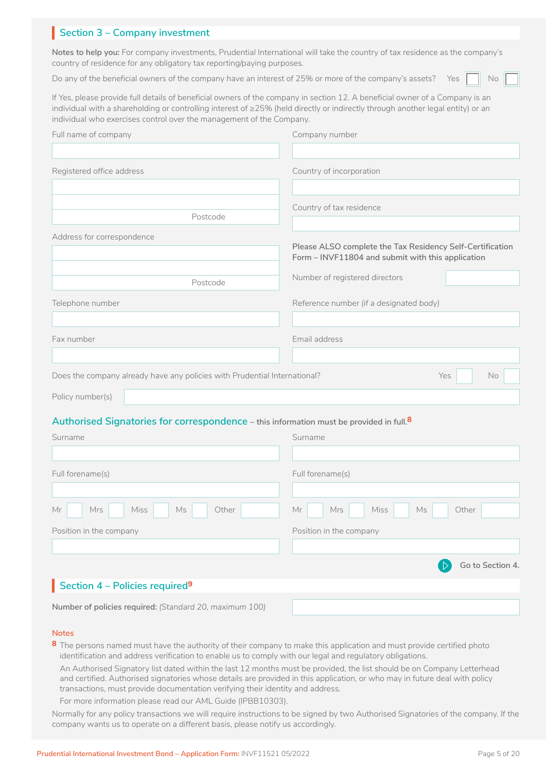## **Section 3 – Company investment**

**Notes to help you:** For company investments, Prudential International will take the country of tax residence as the company's country of residence for any obligatory tax reporting/paying purposes.

Do any of the beneficial owners of the company have an interest of 25% or more of the company's assets? Yes  $\Box$  No

□

If Yes, please provide full details of beneficial owners of the company in section 12. A beneficial owner of a Company is an individual with a shareholding or controlling interest of ≥25% (held directly or indirectly through another legal entity) or an individual who exercises control over the management of the Company.

| Full name of company                                                                                | Company number                                            |  |  |  |
|-----------------------------------------------------------------------------------------------------|-----------------------------------------------------------|--|--|--|
|                                                                                                     |                                                           |  |  |  |
| Registered office address                                                                           | Country of incorporation                                  |  |  |  |
|                                                                                                     |                                                           |  |  |  |
|                                                                                                     | Country of tax residence                                  |  |  |  |
| Postcode                                                                                            |                                                           |  |  |  |
| Address for correspondence                                                                          | Please ALSO complete the Tax Residency Self-Certification |  |  |  |
|                                                                                                     | Form - INVF11804 and submit with this application         |  |  |  |
| Postcode                                                                                            | Number of registered directors                            |  |  |  |
| Telephone number                                                                                    | Reference number (if a designated body)                   |  |  |  |
|                                                                                                     |                                                           |  |  |  |
| Fax number                                                                                          | Email address                                             |  |  |  |
|                                                                                                     |                                                           |  |  |  |
| Does the company already have any policies with Prudential International?                           | Yes<br>No                                                 |  |  |  |
| Policy number(s)                                                                                    |                                                           |  |  |  |
| Authorised Signatories for correspondence - this information must be provided in full. <sup>8</sup> |                                                           |  |  |  |
| Surname                                                                                             | Surname                                                   |  |  |  |
|                                                                                                     |                                                           |  |  |  |
| Full forename(s)                                                                                    | Full forename(s)                                          |  |  |  |
|                                                                                                     |                                                           |  |  |  |
| Mrs<br><b>Miss</b><br>Other<br>Мr<br>Ms                                                             | <b>Miss</b><br>Other<br>Mr<br>Mrs<br>Ms                   |  |  |  |
| Position in the company                                                                             | Position in the company                                   |  |  |  |
|                                                                                                     |                                                           |  |  |  |
|                                                                                                     | Go to Section 4.                                          |  |  |  |
| Section 4 - Policies required <sup>9</sup>                                                          |                                                           |  |  |  |
| Number of policies required: (Standard 20, maximum 100)                                             |                                                           |  |  |  |
|                                                                                                     |                                                           |  |  |  |

### **Notes**

8 The persons named must have the authority of their company to make this application and must provide certified photo identification and address verification to enable us to comply with our legal and regulatory obligations.

An Authorised Signatory list dated within the last 12 months must be provided, the list should be on Company Letterhead and certified. Authorised signatories whose details are provided in this application, or who may in future deal with policy transactions, must provide documentation verifying their identity and address.

For more information please read our AML Guide (IPBB10303).

Normally for any policy transactions we will require instructions to be signed by two Authorised Signatories of the company. If the company wants us to operate on a different basis, please notify us accordingly.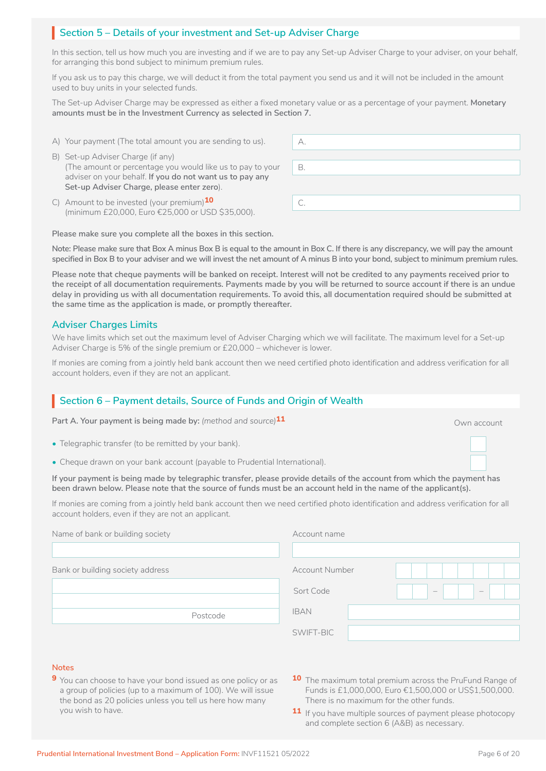## Section 5 – Details of your investment and Set-up Adviser Charge

In this section, tell us how much you are investing and if we are to pay any Set-up Adviser Charge to your adviser, on your behalf, for arranging this bond subject to minimum premium rules.

If you ask us to pay this charge, we will deduct it from the total payment you send us and it will not be included in the amount used to buy units in your selected funds.

The Set-up Adviser Charge may be expressed as either a fixed monetary value or as a percentage of your payment. **Monetary amounts must be in the Investment Currency as selected in Section 7.**

- A) Your payment (The total amount you are sending to us).
- B) Set-up Adviser Charge (if any) (The amount or percentage you would like us to pay to your adviser on your behalf. **If you do not want us to pay any Set-up Adviser Charge, please enter zero**).
- C) Amount to be invested (your premium)<sup>10</sup> (minimum £20,000, Euro €25,000 or USD \$35,000).

**Please make sure you complete all the boxes in this section.**

**Note: Please make sure that Box A minus Box B is equal to the amount in Box C. If there is any discrepancy, we will pay the amount specified in Box B to your adviser and we will invest the net amount of A minus B into your bond, subject to minimum premium rules.**

**Please note that cheque payments will be banked on receipt. Interest will not be credited to any payments received prior to the receipt of all documentation requirements. Payments made by you will be returned to source account if there is an undue delay in providing us with all documentation requirements. To avoid this, all documentation required should be submitted at the same time as the application is made, or promptly thereafter.** 

#### **Adviser Charges Limits**

We have limits which set out the maximum level of Adviser Charging which we will facilitate. The maximum level for a Set-up Adviser Charge is 5% of the single premium or £20,000 – whichever is lower.

If monies are coming from a jointly held bank account then we need certified photo identification and address verification for all account holders, even if they are not an applicant.

## Section 6 – Payment details, Source of Funds and Origin of Wealth

**Part A. Your payment is being made by:** *(method and source)* **11** Own account of the source of the source of the source of the source of the source of the source of the source of the source of the source of the source of

- Telegraphic transfer (to be remitted by your bank).
- Cheque drawn on your bank account (payable to Prudential International).

**If your payment is being made by telegraphic transfer, please provide details of the account from which the payment has been drawn below. Please note that the source of funds must be an account held in the name of the applicant(s).** LJ

If monies are coming from a jointly held bank account then we need certified photo identification and address verification for all account holders, even if they are not an applicant.

| Name of bank or building society | Account name                 |
|----------------------------------|------------------------------|
| Bank or building society address | <b>Account Number</b>        |
|                                  | Sort Code<br>$\equiv$<br>$=$ |
| Postcode                         | <b>IBAN</b>                  |
|                                  | SWIFT-BIC                    |

#### **Notes**

- **9** You can choose to have your bond issued as one policy or as a group of policies (up to a maximum of 100). We will issue the bond as 20 policies unless you tell us here how many you wish to have.
- **10** The maximum total premium across the PruFund Range of Funds is £1,000,000, Euro €1,500,000 or US\$1,500,000. There is no maximum for the other funds.
- 11 If you have multiple sources of payment please photocopy and complete section 6 (A&B) as necessary.

 $\Box$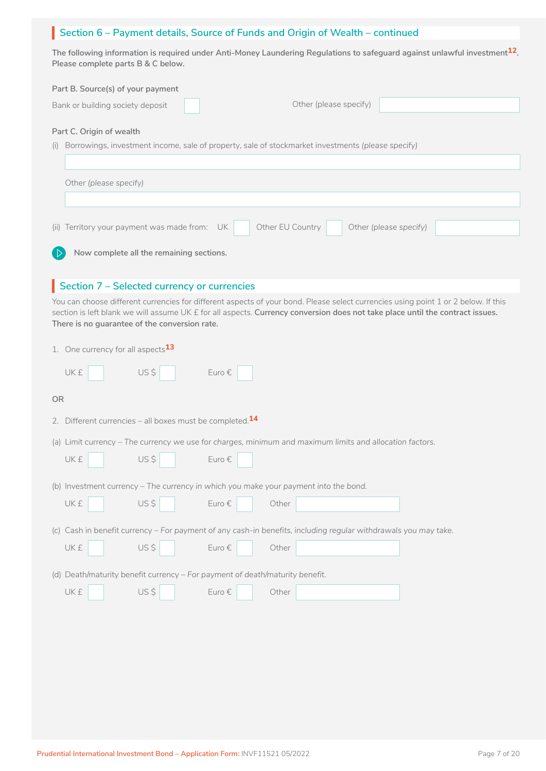## Section 6 – Payment details, Source of Funds and Origin of Wealth – continued

**The following information is required under Anti-Money Laundering Regulations to safeguard against unlawful investment12. Please complete parts B & C below.**

| Part B. Source(s) of your payment<br>Other (please specify)<br>Bank or building society deposit                                 |
|---------------------------------------------------------------------------------------------------------------------------------|
| Part C. Origin of wealth                                                                                                        |
| (i) Borrowings, investment income, sale of property, sale of stockmarket investments (please specify)<br>Other (please specify) |
|                                                                                                                                 |
| (ii) Territory your payment was made from: UK<br>Other EU Country<br>Other (please specify)                                     |

**Now complete all the remaining sections.**

## **Section 7 – Selected currency or currencies**

You can choose different currencies for different aspects of your bond. Please select currencies using point 1 or 2 below. If this section is left blank we will assume UK £ for all aspects. **Currency conversion does not take place until the contract issues. There is no guarantee of the conversion rate.** 

|  |  | 1. One currency for all aspects <sup>13</sup> |
|--|--|-----------------------------------------------|
|  |  |                                               |

| US\$<br><b>UK£</b><br>Euro €                                                                                   |
|----------------------------------------------------------------------------------------------------------------|
| <b>OR</b>                                                                                                      |
| Different currencies – all boxes must be completed. $14$<br>2.                                                 |
| (a) Limit currency - The currency we use for charges, minimum and maximum limits and allocation factors.       |
| US\$<br>Euro €<br><b>UK£</b>                                                                                   |
| (b) Investment currency – The currency in which you make your payment into the bond.                           |
| US\$<br>Euro €<br><b>UK£</b><br>Other                                                                          |
| (c) Cash in benefit currency - For payment of any cash-in benefits, including regular withdrawals you may take |
| US\$<br><b>UK£</b><br>Euro $\epsilon$<br>Other                                                                 |
| (d) Death/maturity benefit currency – For payment of death/maturity benefit.                                   |
| US\$<br><b>UK£</b><br>Euro €<br>Other                                                                          |
|                                                                                                                |
|                                                                                                                |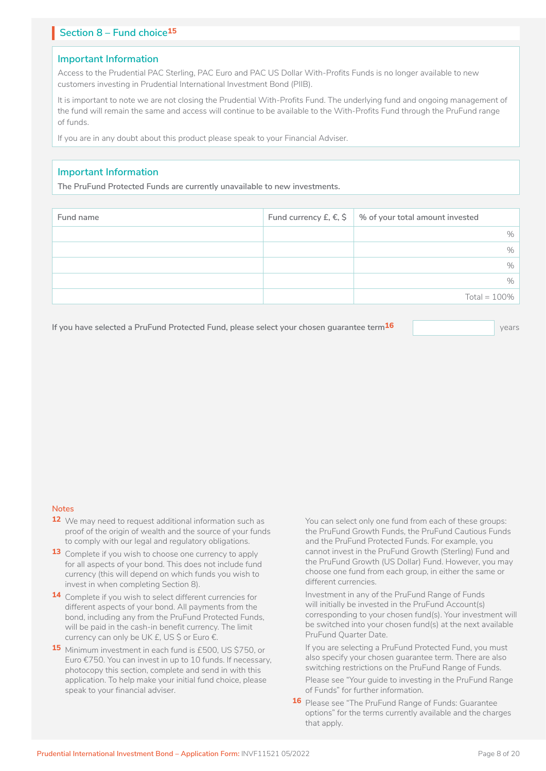## **Section 8 – Fund choice15** I

### **Important Information**

Access to the Prudential PAC Sterling, PAC Euro and PAC US Dollar With-Profits Funds is no longer available to new customers investing in Prudential International Investment Bond (PIIB).

It is important to note we are not closing the Prudential With-Profits Fund. The underlying fund and ongoing management of the fund will remain the same and access will continue to be available to the With-Profits Fund through the PruFund range of funds.

If you are in any doubt about this product please speak to your Financial Adviser.

## **Important Information**

**The PruFund Protected Funds are currently unavailable to new investments.**

| Fund name | Fund currency £, $€$ , $\frac{1}{5}$ % of your total amount invested |
|-----------|----------------------------------------------------------------------|
|           | $\%$                                                                 |
|           | $\%$                                                                 |
|           | $\%$                                                                 |
|           | $\%$                                                                 |
|           | Total = $100\%$                                                      |

**If you have selected a PruFund Protected Fund, please select your chosen guarantee term16** years

#### **Notes**

- **12** We may need to request additional information such as proof of the origin of wealth and the source of your funds to comply with our legal and regulatory obligations.
- **13** Complete if you wish to choose one currency to apply for all aspects of your bond. This does not include fund currency (this will depend on which funds you wish to invest in when completing Section 8).
- **14** Complete if you wish to select different currencies for different aspects of your bond. All payments from the bond, including any from the PruFund Protected Funds, will be paid in the cash-in benefit currency. The limit currency can only be UK £, US \$ or Euro €.
- **15** Minimum investment in each fund is £500, US \$750, or Euro €750. You can invest in up to 10 funds. If necessary, photocopy this section, complete and send in with this application. To help make your initial fund choice, please speak to your financial adviser.

You can select only one fund from each of these groups: the PruFund Growth Funds, the PruFund Cautious Funds and the PruFund Protected Funds. For example, you cannot invest in the PruFund Growth (Sterling) Fund and the PruFund Growth (US Dollar) Fund. However, you may choose one fund from each group, in either the same or different currencies.

Investment in any of the PruFund Range of Funds will initially be invested in the PruFund Account(s) corresponding to your chosen fund(s). Your investment will be switched into your chosen fund(s) at the next available PruFund Quarter Date.

If you are selecting a PruFund Protected Fund, you must also specify your chosen guarantee term. There are also switching restrictions on the PruFund Range of Funds.

Please see "Your guide to investing in the PruFund Range of Funds" for further information.

**16** Please see "The PruFund Range of Funds: Guarantee options" for the terms currently available and the charges that apply.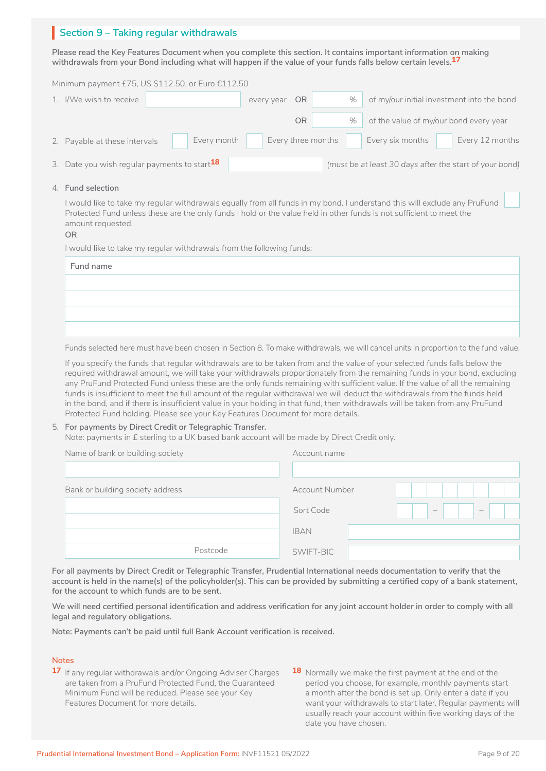## **Section 9 – Taking regular withdrawals** I

**Please read the Key Features Document when you complete this section. It contains important information on making withdrawals from your Bond including what will happen if the value of your funds falls below certain levels.17**

Minimum payment £75, US \$112.50, or Euro €112.50

| 1. I/We wish to receive                            |             | every year | OR.                | % |                  | of my/our initial investment into the bond              |
|----------------------------------------------------|-------------|------------|--------------------|---|------------------|---------------------------------------------------------|
|                                                    |             |            | <b>OR</b>          | % |                  | of the value of my/our bond every year                  |
| 2. Payable at these intervals                      | Every month |            | Every three months |   | Every six months | Every 12 months                                         |
| 3. Date you wish regular payments to start $^{18}$ |             |            |                    |   |                  | (must be at least 30 days after the start of your bond) |

#### 4. **Fund selection**

I would like to take my regular withdrawals equally from all funds in my bond. I understand this will exclude any PruFund Protected Fund unless these are the only funds I hold or the value held in other funds is not sufficient to meet the amount requested.

#### **OR**

I would like to take my regular withdrawals from the following funds:

| Fund name |  |
|-----------|--|
|           |  |
|           |  |
|           |  |
|           |  |

Funds selected here must have been chosen in Section 8. To make withdrawals, we will cancel units in proportion to the fund value.

If you specify the funds that regular withdrawals are to be taken from and the value of your selected funds falls below the required withdrawal amount, we will take your withdrawals proportionately from the remaining funds in your bond, excluding any PruFund Protected Fund unless these are the only funds remaining with sufficient value. If the value of all the remaining funds is insufficient to meet the full amount of the regular withdrawal we will deduct the withdrawals from the funds held in the bond, and if there is insufficient value in your holding in that fund, then withdrawals will be taken from any PruFund Protected Fund holding. Please see your Key Features Document for more details.

#### 5. **For payments by Direct Credit or Telegraphic Transfer.**

Note: payments in £ sterling to a UK based bank account will be made by Direct Credit only.

| Name of bank or building society | Account name                                |
|----------------------------------|---------------------------------------------|
|                                  |                                             |
| Bank or building society address | <b>Account Number</b>                       |
|                                  | $\left  - \right $<br>$\equiv$<br>Sort Code |
|                                  | <b>IBAN</b>                                 |
| Postcode                         | SWIFT-BIC                                   |

**For all payments by Direct Credit or Telegraphic Transfer, Prudential International needs documentation to verify that the account is held in the name(s) of the policyholder(s). This can be provided by submitting a certified copy of a bank statement, for the account to which funds are to be sent.**

**We will need certified personal identification and address verification for any joint account holder in order to comply with all legal and regulatory obligations.**

**Note: Payments can't be paid until full Bank Account verification is received.**

#### **Notes**

- **17** If any regular withdrawals and/or Ongoing Adviser Charges are taken from a PruFund Protected Fund, the Guaranteed Minimum Fund will be reduced. Please see your Key Features Document for more details.
- **18** Normally we make the first payment at the end of the period you choose, for example, monthly payments start a month after the bond is set up. Only enter a date if you want your withdrawals to start later. Regular payments will usually reach your account within five working days of the date you have chosen.

 $\Box$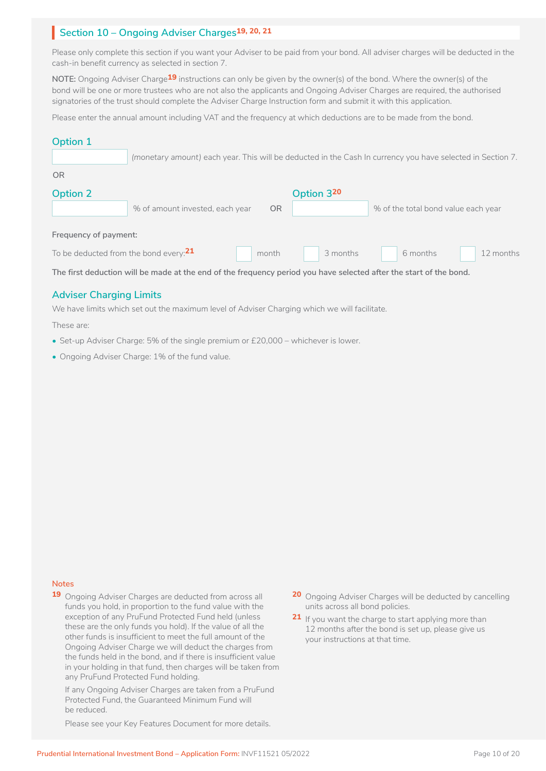## **Section 10 – Ongoing Adviser Charges19, 20, 21** I

Please only complete this section if you want your Adviser to be paid from your bond. All adviser charges will be deducted in the cash-in benefit currency as selected in section 7.

**NOTE:** Ongoing Adviser Charge**19** instructions can only be given by the owner(s) of the bond. Where the owner(s) of the bond will be one or more trustees who are not also the applicants and Ongoing Adviser Charges are required, the authorised signatories of the trust should complete the Adviser Charge Instruction form and submit it with this application.

Please enter the annual amount including VAT and the frequency at which deductions are to be made from the bond.

### **Option 1**

|  |  |  |  | $\mid$ (monetary amount) each year. This will be deducted in the Cash In currency you have selected in Section 7. |  |  |
|--|--|--|--|-------------------------------------------------------------------------------------------------------------------|--|--|
|  |  |  |  |                                                                                                                   |  |  |

| Option 2                                 | % of amount invested, each year | 0 <sub>R</sub> | Option 320 | % of the total bond value each year |           |
|------------------------------------------|---------------------------------|----------------|------------|-------------------------------------|-----------|
| Frequency of payment:                    |                                 |                |            |                                     |           |
| To be deducted from the bond every: $21$ |                                 | month          | 3 months   | 6 months                            | 12 months |

**The first deduction will be made at the end of the frequency period you have selected after the start of the bond.**

## **Adviser Charging Limits**

We have limits which set out the maximum level of Adviser Charging which we will facilitate.

These are:

- Set-up Adviser Charge: 5% of the single premium or £20,000 whichever is lower.
- Ongoing Adviser Charge: 1% of the fund value.

### **Notes**

**19** Ongoing Adviser Charges are deducted from across all funds you hold, in proportion to the fund value with the exception of any PruFund Protected Fund held (unless these are the only funds you hold). If the value of all the other funds is insufficient to meet the full amount of the Ongoing Adviser Charge we will deduct the charges from the funds held in the bond, and if there is insufficient value in your holding in that fund, then charges will be taken from any PruFund Protected Fund holding.

If any Ongoing Adviser Charges are taken from a PruFund Protected Fund, the Guaranteed Minimum Fund will be reduced.

Please see your Key Features Document for more details.

- **20** Ongoing Adviser Charges will be deducted by cancelling units across all bond policies.
- **21** If you want the charge to start applying more than 12 months after the bond is set up, please give us your instructions at that time.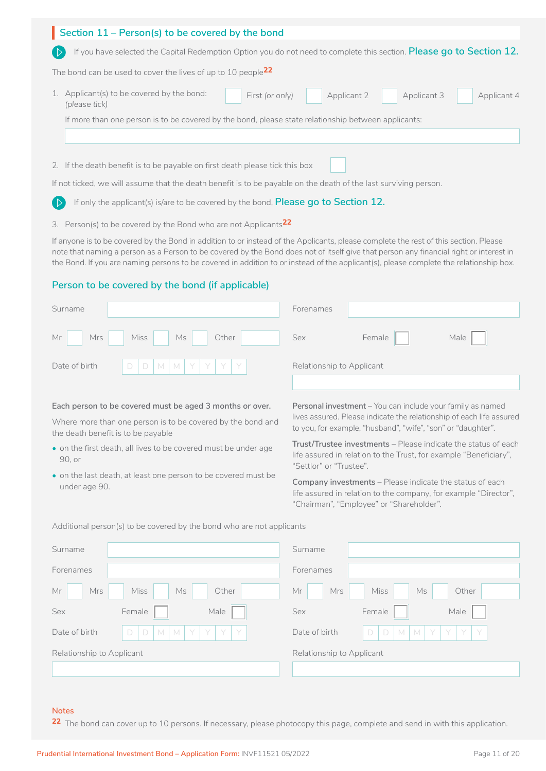| Section 11 – Person(s) to be covered by the bond                                                                            |
|-----------------------------------------------------------------------------------------------------------------------------|
| If you have selected the Capital Redemption Option you do not need to complete this section. Please go to Section 12.       |
| The bond can be used to cover the lives of up to 10 people $^{22}$                                                          |
| 1. Applicant(s) to be covered by the bond:<br>First (or only)<br>Applicant 2<br>Applicant 3<br>Applicant 4<br>(please tick) |
| If more than one person is to be covered by the bond, please state relationship between applicants:                         |
|                                                                                                                             |
| 2. If the death benefit is to be payable on first death please tick this box                                                |
| If not ticked, we will assume that the death benefit is to be payable on the death of the last surviving person.            |

 $\Box$ If only the applicant(s) is/are to be covered by the bond, **Please go to Section 12.** 

3. Person(s) to be covered by the Bond who are not Applicants**22**

If anyone is to be covered by the Bond in addition to or instead of the Applicants, please complete the rest of this section. Please note that naming a person as a Person to be covered by the Bond does not of itself give that person any financial right or interest in the Bond. If you are naming persons to be covered in addition to or instead of the applicant(s), please complete the relationship box.

### **Person to be covered by the bond (if applicable)**

| Surname |                                 | Forenames                 |        |      |
|---------|---------------------------------|---------------------------|--------|------|
| Mr      | Mrs Miss Ms<br>Other            | Sex                       | Female | Male |
|         | Date of birth $D D M M Y Y Y Y$ | Relationship to Applicant |        |      |

#### **Each person to be covered must be aged 3 months or over.**

Where more than one person is to be covered by the bond and the death benefit is to be payable

- on the first death, all lives to be covered must be under age 90, or
- on the last death, at least one person to be covered must be under age 90.

**Personal investment** – You can include your family as named lives assured. Please indicate the relationship of each life assured to you, for example, "husband", "wife", "son" or "daughter".

**Trust/Trustee investments** – Please indicate the status of each life assured in relation to the Trust, for example "Beneficiary", "Settlor" or "Trustee".

**Company investments** – Please indicate the status of each life assured in relation to the company, for example "Director", "Chairman", "Employee" or "Shareholder".

| Surname                   |                                                  | Surname                   |                                               |
|---------------------------|--------------------------------------------------|---------------------------|-----------------------------------------------|
| Forenames                 |                                                  | Forenames                 |                                               |
| Mr<br>Mrs                 | Miss<br>Ms<br>Other                              | Mrs<br>Mr                 | Miss<br>Other<br>Ms                           |
| Sex                       | Male<br>Female                                   | Sex                       | Female<br>Male                                |
| Date of birth             | I Y<br>D<br>Y I<br>$\Box$<br>M<br>Y<br>-Y I<br>M | Date of birth             | Y<br>$\Box$<br>$M$ $Y$<br>-Y I<br>Y<br>D<br>M |
| Relationship to Applicant |                                                  | Relationship to Applicant |                                               |
|                           |                                                  |                           |                                               |

Additional person(s) to be covered by the bond who are not applicants

## **Notes**

22 The bond can cover up to 10 persons. If necessary, please photocopy this page, complete and send in with this application.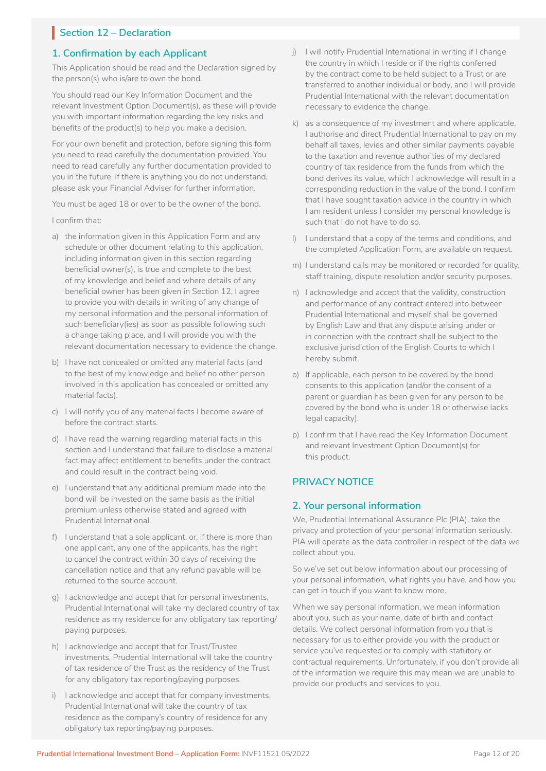## **Section 12 – Declaration**

## **1. Confirmation by each Applicant**

This Application should be read and the Declaration signed by the person(s) who is/are to own the bond.

You should read our Key Information Document and the relevant Investment Option Document(s), as these will provide you with important information regarding the key risks and benefits of the product(s) to help you make a decision.

For your own benefit and protection, before signing this form you need to read carefully the documentation provided. You need to read carefully any further documentation provided to you in the future. If there is anything you do not understand, please ask your Financial Adviser for further information.

You must be aged 18 or over to be the owner of the bond.

#### I confirm that:

- a) the information given in this Application Form and any schedule or other document relating to this application, including information given in this section regarding beneficial owner(s), is true and complete to the best of my knowledge and belief and where details of any beneficial owner has been given in Section 12, I agree to provide you with details in writing of any change of my personal information and the personal information of such beneficiary(ies) as soon as possible following such a change taking place, and I will provide you with the relevant documentation necessary to evidence the change.
- b) I have not concealed or omitted any material facts (and to the best of my knowledge and belief no other person involved in this application has concealed or omitted any material facts).
- c) I will notify you of any material facts I become aware of before the contract starts.
- d) I have read the warning regarding material facts in this section and I understand that failure to disclose a material fact may affect entitlement to benefits under the contract and could result in the contract being void.
- e) I understand that any additional premium made into the bond will be invested on the same basis as the initial premium unless otherwise stated and agreed with Prudential International.
- f) I understand that a sole applicant, or, if there is more than one applicant, any one of the applicants, has the right to cancel the contract within 30 days of receiving the cancellation notice and that any refund payable will be returned to the source account.
- g) I acknowledge and accept that for personal investments, Prudential International will take my declared country of tax residence as my residence for any obligatory tax reporting/ paying purposes.
- h) I acknowledge and accept that for Trust/Trustee investments, Prudential International will take the country of tax residence of the Trust as the residency of the Trust for any obligatory tax reporting/paying purposes.
- i) lacknowledge and accept that for company investments, Prudential International will take the country of tax residence as the company's country of residence for any obligatory tax reporting/paying purposes.
- j) I will notify Prudential International in writing if I change the country in which I reside or if the rights conferred by the contract come to be held subject to a Trust or are transferred to another individual or body, and I will provide Prudential International with the relevant documentation necessary to evidence the change.
- k) as a consequence of my investment and where applicable, I authorise and direct Prudential International to pay on my behalf all taxes, levies and other similar payments payable to the taxation and revenue authorities of my declared country of tax residence from the funds from which the bond derives its value, which I acknowledge will result in a corresponding reduction in the value of the bond. I confirm that I have sought taxation advice in the country in which I am resident unless I consider my personal knowledge is such that I do not have to do so.
- l) I understand that a copy of the terms and conditions, and the completed Application Form, are available on request.
- m) I understand calls may be monitored or recorded for quality, staff training, dispute resolution and/or security purposes.
- n) I acknowledge and accept that the validity, construction and performance of any contract entered into between Prudential International and myself shall be governed by English Law and that any dispute arising under or in connection with the contract shall be subject to the exclusive jurisdiction of the English Courts to which I hereby submit.
- o) If applicable, each person to be covered by the bond consents to this application (and/or the consent of a parent or guardian has been given for any person to be covered by the bond who is under 18 or otherwise lacks legal capacity).
- p) I confirm that I have read the Key Information Document and relevant Investment Option Document(s) for this product.

## **PRIVACY NOTICE**

## **2. Your personal information**

We, Prudential International Assurance Plc (PIA), take the privacy and protection of your personal information seriously. PIA will operate as the data controller in respect of the data we collect about you.

So we've set out below information about our processing of your personal information, what rights you have, and how you can get in touch if you want to know more.

When we say personal information, we mean information about you, such as your name, date of birth and contact details. We collect personal information from you that is necessary for us to either provide you with the product or service you've requested or to comply with statutory or contractual requirements. Unfortunately, if you don't provide all of the information we require this may mean we are unable to provide our products and services to you.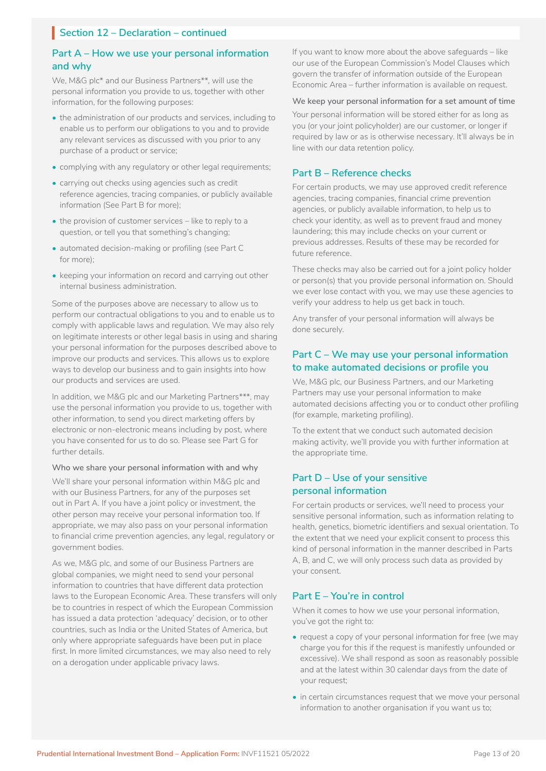## **Part A – How we use your personal information and why**

We, M&G plc\* and our Business Partners\*\*, will use the personal information you provide to us, together with other information, for the following purposes:

- the administration of our products and services, including to enable us to perform our obligations to you and to provide any relevant services as discussed with you prior to any purchase of a product or service;
- complying with any regulatory or other legal requirements;
- carrying out checks using agencies such as credit reference agencies, tracing companies, or publicly available information (See Part B for more);
- the provision of customer services like to reply to a question, or tell you that something's changing;
- automated decision-making or profiling (see Part C for more);
- keeping your information on record and carrying out other internal business administration.

Some of the purposes above are necessary to allow us to perform our contractual obligations to you and to enable us to comply with applicable laws and regulation. We may also rely on legitimate interests or other legal basis in using and sharing your personal information for the purposes described above to improve our products and services. This allows us to explore ways to develop our business and to gain insights into how our products and services are used.

In addition, we M&G plc and our Marketing Partners\*\*\*, may use the personal information you provide to us, together with other information, to send you direct marketing offers by electronic or non-electronic means including by post, where you have consented for us to do so. Please see Part G for further details.

**Who we share your personal information with and why**

We'll share your personal information within M&G plc and with our Business Partners, for any of the purposes set out in Part A. If you have a joint policy or investment, the other person may receive your personal information too. If appropriate, we may also pass on your personal information to financial crime prevention agencies, any legal, regulatory or government bodies.

As we, M&G plc, and some of our Business Partners are global companies, we might need to send your personal information to countries that have different data protection laws to the European Economic Area. These transfers will only be to countries in respect of which the European Commission has issued a data protection 'adequacy' decision, or to other countries, such as India or the United States of America, but only where appropriate safeguards have been put in place first. In more limited circumstances, we may also need to rely on a derogation under applicable privacy laws.

If you want to know more about the above safeguards – like our use of the European Commission's Model Clauses which govern the transfer of information outside of the European Economic Area – further information is available on request.

#### **We keep your personal information for a set amount of time**

Your personal information will be stored either for as long as you (or your joint policyholder) are our customer, or longer if required by law or as is otherwise necessary. It'll always be in line with our data retention policy.

### **Part B – Reference checks**

For certain products, we may use approved credit reference agencies, tracing companies, financial crime prevention agencies, or publicly available information, to help us to check your identity, as well as to prevent fraud and money laundering; this may include checks on your current or previous addresses. Results of these may be recorded for future reference.

These checks may also be carried out for a joint policy holder or person(s) that you provide personal information on. Should we ever lose contact with you, we may use these agencies to verify your address to help us get back in touch.

Any transfer of your personal information will always be done securely.

### **Part C – We may use your personal information to make automated decisions or profile you**

We, M&G plc, our Business Partners, and our Marketing Partners may use your personal information to make automated decisions affecting you or to conduct other profiling (for example, marketing profiling).

To the extent that we conduct such automated decision making activity, we'll provide you with further information at the appropriate time.

## **Part D – Use of your sensitive personal information**

For certain products or services, we'll need to process your sensitive personal information, such as information relating to health, genetics, biometric identifiers and sexual orientation. To the extent that we need your explicit consent to process this kind of personal information in the manner described in Parts A, B, and C, we will only process such data as provided by your consent.

#### **Part E – You're in control**

When it comes to how we use your personal information, you've got the right to:

- request a copy of your personal information for free (we may charge you for this if the request is manifestly unfounded or excessive). We shall respond as soon as reasonably possible and at the latest within 30 calendar days from the date of your request;
- in certain circumstances request that we move your personal information to another organisation if you want us to;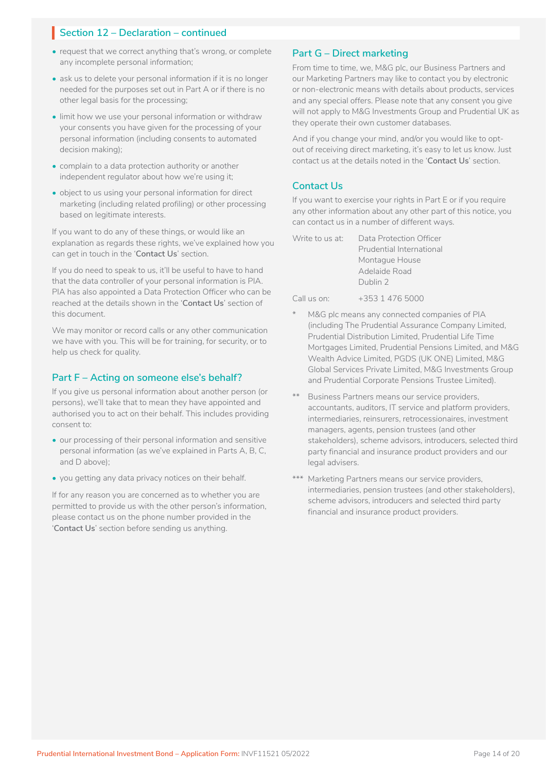- request that we correct anything that's wrong, or complete any incomplete personal information;
- ask us to delete your personal information if it is no longer needed for the purposes set out in Part A or if there is no other legal basis for the processing;
- limit how we use your personal information or withdraw your consents you have given for the processing of your personal information (including consents to automated decision making);
- complain to a data protection authority or another independent regulator about how we're using it;
- object to us using your personal information for direct marketing (including related profiling) or other processing based on legitimate interests.

If you want to do any of these things, or would like an explanation as regards these rights, we've explained how you can get in touch in the '**Contact Us**' section.

If you do need to speak to us, it'll be useful to have to hand that the data controller of your personal information is PIA. PIA has also appointed a Data Protection Officer who can be reached at the details shown in the '**Contact Us**' section of this document.

We may monitor or record calls or any other communication we have with you. This will be for training, for security, or to help us check for quality.

### **Part F – Acting on someone else's behalf?**

If you give us personal information about another person (or persons), we'll take that to mean they have appointed and authorised you to act on their behalf. This includes providing consent to:

- our processing of their personal information and sensitive personal information (as we've explained in Parts A, B, C, and D above);
- you getting any data privacy notices on their behalf.

If for any reason you are concerned as to whether you are permitted to provide us with the other person's information, please contact us on the phone number provided in the '**Contact Us**' section before sending us anything.

### **Part G – Direct marketing**

From time to time, we, M&G plc, our Business Partners and our Marketing Partners may like to contact you by electronic or non-electronic means with details about products, services and any special offers. Please note that any consent you give will not apply to M&G Investments Group and Prudential UK as they operate their own customer databases.

And if you change your mind, and/or you would like to optout of receiving direct marketing, it's easy to let us know. Just contact us at the details noted in the '**Contact Us**' section.

## **Contact Us**

If you want to exercise your rights in Part E or if you require any other information about any other part of this notice, you can contact us in a number of different ways.

| Write to us at: | Data Protection Officer  |
|-----------------|--------------------------|
|                 | Prudential International |
|                 | Montague House           |
|                 | Adelaide Road            |
|                 | Dublin 2                 |

Call us on: +353 1 476 5000

- M&G plc means any connected companies of PIA (including The Prudential Assurance Company Limited, Prudential Distribution Limited, Prudential Life Time Mortgages Limited, Prudential Pensions Limited, and M&G Wealth Advice Limited, PGDS (UK ONE) Limited, M&G Global Services Private Limited, M&G Investments Group and Prudential Corporate Pensions Trustee Limited).
- Business Partners means our service providers, accountants, auditors, IT service and platform providers, intermediaries, reinsurers, retrocessionaires, investment managers, agents, pension trustees (and other stakeholders), scheme advisors, introducers, selected third party financial and insurance product providers and our legal advisers.
- \*\*\* Marketing Partners means our service providers, intermediaries, pension trustees (and other stakeholders), scheme advisors, introducers and selected third party financial and insurance product providers.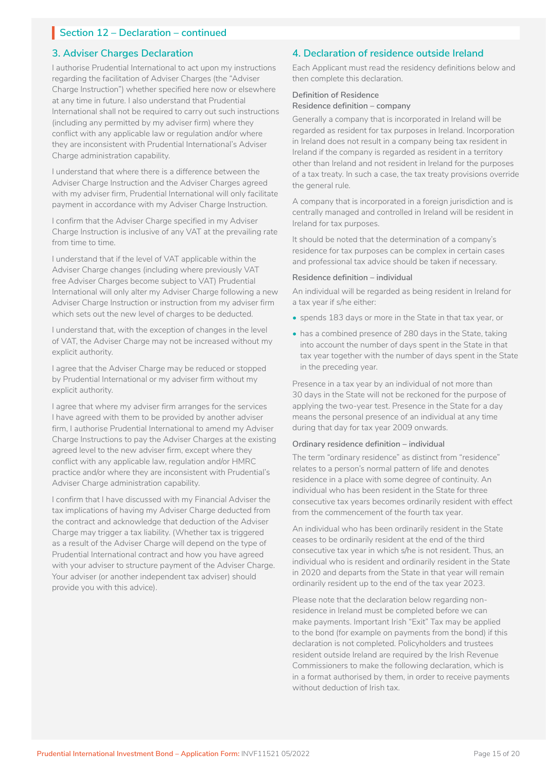## **3. Adviser Charges Declaration**

I authorise Prudential International to act upon my instructions regarding the facilitation of Adviser Charges (the "Adviser Charge Instruction") whether specified here now or elsewhere at any time in future. I also understand that Prudential International shall not be required to carry out such instructions (including any permitted by my adviser firm) where they conflict with any applicable law or regulation and/or where they are inconsistent with Prudential International's Adviser Charge administration capability.

I understand that where there is a difference between the Adviser Charge Instruction and the Adviser Charges agreed with my adviser firm, Prudential International will only facilitate payment in accordance with my Adviser Charge Instruction.

I confirm that the Adviser Charge specified in my Adviser Charge Instruction is inclusive of any VAT at the prevailing rate from time to time.

I understand that if the level of VAT applicable within the Adviser Charge changes (including where previously VAT free Adviser Charges become subject to VAT) Prudential International will only alter my Adviser Charge following a new Adviser Charge Instruction or instruction from my adviser firm which sets out the new level of charges to be deducted.

I understand that, with the exception of changes in the level of VAT, the Adviser Charge may not be increased without my explicit authority.

I agree that the Adviser Charge may be reduced or stopped by Prudential International or my adviser firm without my explicit authority.

I agree that where my adviser firm arranges for the services I have agreed with them to be provided by another adviser firm, I authorise Prudential International to amend my Adviser Charge Instructions to pay the Adviser Charges at the existing agreed level to the new adviser firm, except where they conflict with any applicable law, regulation and/or HMRC practice and/or where they are inconsistent with Prudential's Adviser Charge administration capability.

I confirm that I have discussed with my Financial Adviser the tax implications of having my Adviser Charge deducted from the contract and acknowledge that deduction of the Adviser Charge may trigger a tax liability. (Whether tax is triggered as a result of the Adviser Charge will depend on the type of Prudential International contract and how you have agreed with your adviser to structure payment of the Adviser Charge. Your adviser (or another independent tax adviser) should provide you with this advice).

## **4. Declaration of residence outside Ireland**

Each Applicant must read the residency definitions below and then complete this declaration.

## **Definition of Residence**

### **Residence definition – company**

Generally a company that is incorporated in Ireland will be regarded as resident for tax purposes in Ireland. Incorporation in Ireland does not result in a company being tax resident in Ireland if the company is regarded as resident in a territory other than Ireland and not resident in Ireland for the purposes of a tax treaty. In such a case, the tax treaty provisions override the general rule.

A company that is incorporated in a foreign jurisdiction and is centrally managed and controlled in Ireland will be resident in Ireland for tax purposes.

It should be noted that the determination of a company's residence for tax purposes can be complex in certain cases and professional tax advice should be taken if necessary.

#### **Residence definition – individual**

An individual will be regarded as being resident in Ireland for a tax year if s/he either:

- spends 183 days or more in the State in that tax year, or
- has a combined presence of 280 days in the State, taking into account the number of days spent in the State in that tax year together with the number of days spent in the State in the preceding year.

Presence in a tax year by an individual of not more than 30 days in the State will not be reckoned for the purpose of applying the two-year test. Presence in the State for a day means the personal presence of an individual at any time during that day for tax year 2009 onwards.

#### **Ordinary residence definition – individual**

The term "ordinary residence" as distinct from "residence" relates to a person's normal pattern of life and denotes residence in a place with some degree of continuity. An individual who has been resident in the State for three consecutive tax years becomes ordinarily resident with effect from the commencement of the fourth tax year.

An individual who has been ordinarily resident in the State ceases to be ordinarily resident at the end of the third consecutive tax year in which s/he is not resident. Thus, an individual who is resident and ordinarily resident in the State in 2020 and departs from the State in that year will remain ordinarily resident up to the end of the tax year 2023.

Please note that the declaration below regarding nonresidence in Ireland must be completed before we can make payments. Important Irish "Exit" Tax may be applied to the bond (for example on payments from the bond) if this declaration is not completed. Policyholders and trustees resident outside Ireland are required by the Irish Revenue Commissioners to make the following declaration, which is in a format authorised by them, in order to receive payments without deduction of Irish tax.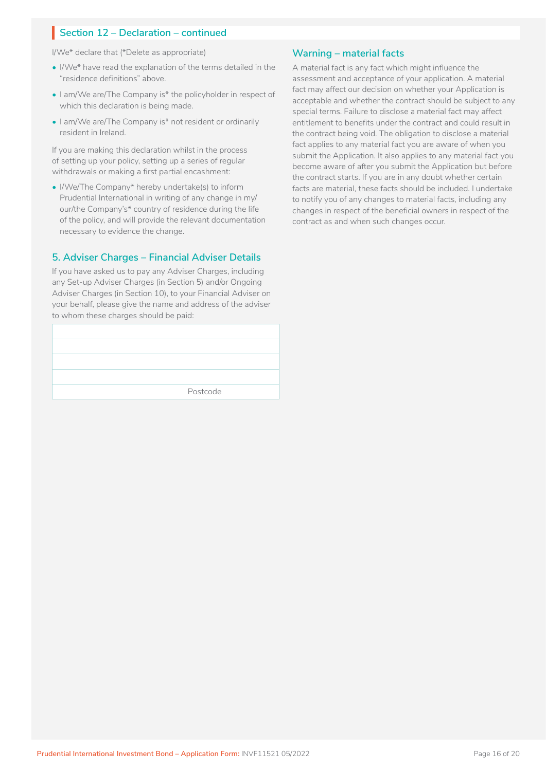I/We\* declare that (\*Delete as appropriate)

- I/We\* have read the explanation of the terms detailed in the "residence definitions" above.
- I am/We are/The Company is\* the policyholder in respect of which this declaration is being made.
- I am/We are/The Company is\* not resident or ordinarily resident in Ireland.

If you are making this declaration whilst in the process of setting up your policy, setting up a series of regular withdrawals or making a first partial encashment:

• I/We/The Company\* hereby undertake(s) to inform Prudential International in writing of any change in my/ our/the Company's\* country of residence during the life of the policy, and will provide the relevant documentation necessary to evidence the change.

### **5. Adviser Charges – Financial Adviser Details**

If you have asked us to pay any Adviser Charges, including any Set-up Adviser Charges (in Section 5) and/or Ongoing Adviser Charges (in Section 10), to your Financial Adviser on your behalf, please give the name and address of the adviser to whom these charges should be paid:

| Postcode |
|----------|
|          |

### **Warning – material facts**

A material fact is any fact which might influence the assessment and acceptance of your application. A material fact may affect our decision on whether your Application is acceptable and whether the contract should be subject to any special terms. Failure to disclose a material fact may affect entitlement to benefits under the contract and could result in the contract being void. The obligation to disclose a material fact applies to any material fact you are aware of when you submit the Application. It also applies to any material fact you become aware of after you submit the Application but before the contract starts. If you are in any doubt whether certain facts are material, these facts should be included. I undertake to notify you of any changes to material facts, including any changes in respect of the beneficial owners in respect of the contract as and when such changes occur.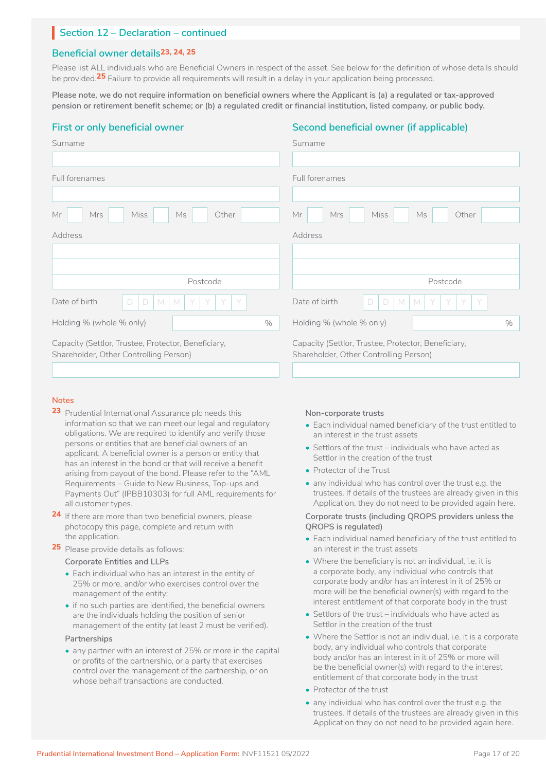## **Beneficial owner details23, 24, 25**

Please list ALL individuals who are Beneficial Owners in respect of the asset. See below for the definition of whose details should be provided.**25** Failure to provide all requirements will result in a delay in your application being processed.

**Please note, we do not require information on beneficial owners where the Applicant is (a) a regulated or tax-approved pension or retirement benefit scheme; or (b) a regulated credit or financial institution, listed company, or public body.**

## **First or only beneficial owner**

### **Second beneficial owner (if applicable)**

| Surname                                                                                       | Surname                                                                                       |
|-----------------------------------------------------------------------------------------------|-----------------------------------------------------------------------------------------------|
|                                                                                               |                                                                                               |
| Full forenames                                                                                | Full forenames                                                                                |
|                                                                                               |                                                                                               |
| Ms<br>Mr<br>Mrs<br><b>Miss</b><br>Other                                                       | Mr<br>Mrs<br>Miss<br>Other<br>Ms                                                              |
| Address                                                                                       | Address                                                                                       |
|                                                                                               |                                                                                               |
|                                                                                               |                                                                                               |
| Postcode                                                                                      | Postcode                                                                                      |
| Date of birth<br>$\Box$<br>D<br>Y<br>Y<br>M<br>M<br>Y<br>Y                                    | Date of birth<br>D<br>D<br>Y<br>Y<br>M<br>M<br>Y<br>Y                                         |
| Holding % (whole % only)<br>$\%$                                                              | Holding % (whole % only)<br>$\%$                                                              |
| Capacity (Settlor, Trustee, Protector, Beneficiary,<br>Shareholder, Other Controlling Person) | Capacity (Settlor, Trustee, Protector, Beneficiary,<br>Shareholder, Other Controlling Person) |

### **Notes**

- **23** Prudential International Assurance plc needs this information so that we can meet our legal and regulatory obligations. We are required to identify and verify those persons or entities that are beneficial owners of an applicant. A beneficial owner is a person or entity that has an interest in the bond or that will receive a benefit arising from payout of the bond. Please refer to the "AML Requirements – Guide to New Business, Top-ups and Payments Out" (IPBB10303) for full AML requirements for all customer types.
- **24** If there are more than two beneficial owners, please photocopy this page, complete and return with the application.
- **25** Please provide details as follows:

#### **Corporate Entities and LLPs**

- Each individual who has an interest in the entity of 25% or more, and/or who exercises control over the management of the entity;
- if no such parties are identified, the beneficial owners are the individuals holding the position of senior management of the entity (at least 2 must be verified).

#### **Partnerships**

• any partner with an interest of 25% or more in the capital or profits of the partnership, or a party that exercises control over the management of the partnership, or on whose behalf transactions are conducted.

#### **Non-corporate trusts**

- Each individual named beneficiary of the trust entitled to an interest in the trust assets
- Settlors of the trust individuals who have acted as Settlor in the creation of the trust
- Protector of the Trust
- any individual who has control over the trust e.g. the trustees. If details of the trustees are already given in this Application, they do not need to be provided again here.

#### **Corporate trusts (including QROPS providers unless the QROPS is regulated)**

- Each individual named beneficiary of the trust entitled to an interest in the trust assets
- Where the beneficiary is not an individual, i.e. it is a corporate body, any individual who controls that corporate body and/or has an interest in it of 25% or more will be the beneficial owner(s) with regard to the interest entitlement of that corporate body in the trust
- Settlors of the trust individuals who have acted as Settlor in the creation of the trust
- Where the Settlor is not an individual, i.e. it is a corporate body, any individual who controls that corporate body and/or has an interest in it of 25% or more will be the beneficial owner(s) with regard to the interest entitlement of that corporate body in the trust
- Protector of the trust
- any individual who has control over the trust e.g. the trustees. If details of the trustees are already given in this Application they do not need to be provided again here.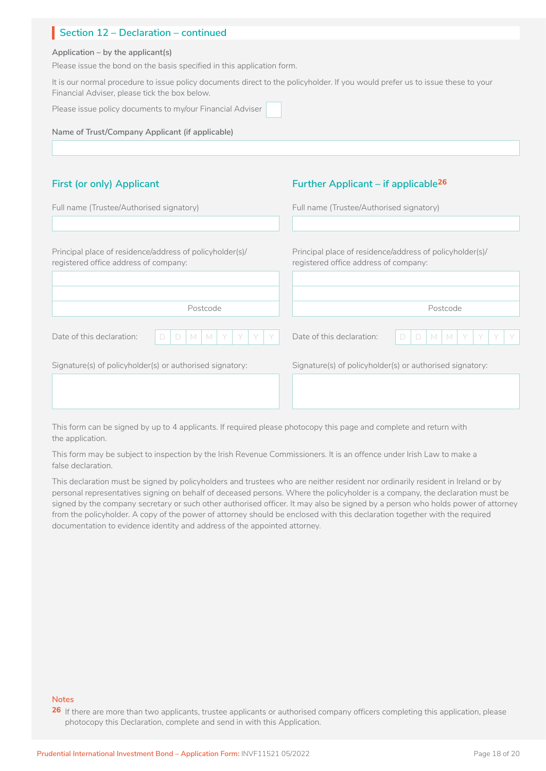#### **Application – by the applicant(s)**

Please issue the bond on the basis specified in this application form.

It is our normal procedure to issue policy documents direct to the policyholder. If you would prefer us to issue these to your Financial Adviser, please tick the box below.

Please issue policy documents to my/our Financial Adviser

**Name of Trust/Company Applicant (if applicable)**

## **First (or only) Applicant**

## **Further Applicant – if applicable26**

| Full name (Trustee/Authorised signatory)                                                          | Full name (Trustee/Authorised signatory)                                                          |
|---------------------------------------------------------------------------------------------------|---------------------------------------------------------------------------------------------------|
| Principal place of residence/address of policyholder(s)/<br>registered office address of company: | Principal place of residence/address of policyholder(s)/<br>registered office address of company: |
| Postcode                                                                                          | Postcode                                                                                          |
| Date of this declaration:<br>$\Box$<br>M<br>M<br>D                                                | Date of this declaration:<br>D<br>D<br>M<br>M                                                     |
| Signature(s) of policyholder(s) or authorised signatory:                                          | Signature(s) of policyholder(s) or authorised signatory:                                          |

This form can be signed by up to 4 applicants. If required please photocopy this page and complete and return with the application.

This form may be subject to inspection by the Irish Revenue Commissioners. It is an offence under Irish Law to make a false declaration.

This declaration must be signed by policyholders and trustees who are neither resident nor ordinarily resident in Ireland or by personal representatives signing on behalf of deceased persons. Where the policyholder is a company, the declaration must be signed by the company secretary or such other authorised officer. It may also be signed by a person who holds power of attorney from the policyholder. A copy of the power of attorney should be enclosed with this declaration together with the required documentation to evidence identity and address of the appointed attorney.

#### **Notes**

26 If there are more than two applicants, trustee applicants or authorised company officers completing this application, please photocopy this Declaration, complete and send in with this Application.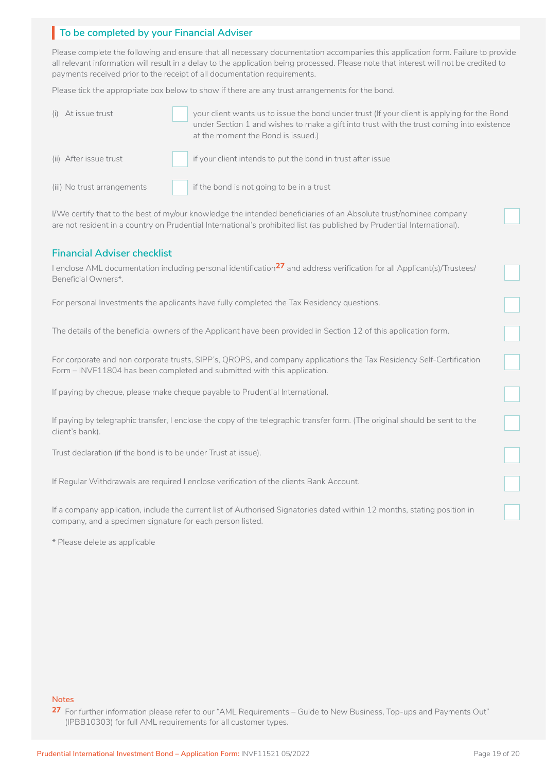## **To be completed by your Financial Adviser** I

Please complete the following and ensure that all necessary documentation accompanies this application form. Failure to provide all relevant information will result in a delay to the application being processed. Please note that interest will not be credited to payments received prior to the receipt of all documentation requirements.

Please tick the appropriate box below to show if there are any trust arrangements for the bond.

| (i) At issue trust          | your client wants us to issue the bond under trust (If your client is applying for the Bond<br>under Section 1 and wishes to make a gift into trust with the trust coming into existence<br>at the moment the Bond is issued.) |
|-----------------------------|--------------------------------------------------------------------------------------------------------------------------------------------------------------------------------------------------------------------------------|
| (ii) After issue trust      | if your client intends to put the bond in trust after issue                                                                                                                                                                    |
| (iii) No trust arrangements | if the bond is not going to be in a trust                                                                                                                                                                                      |

I/We certify that to the best of my/our knowledge the intended beneficiaries of an Absolute trust/nominee company are not resident in a country on Prudential International's prohibited list (as published by Prudential International).

### **Financial Adviser checklist**

I enclose AML documentation including personal identification**27** and address verification for all Applicant(s)/Trustees/ Beneficial Owners\*.

For personal Investments the applicants have fully completed the Tax Residency questions.

The details of the beneficial owners of the Applicant have been provided in Section 12 of this application form.

For corporate and non corporate trusts, SIPP's, QROPS, and company applications the Tax Residency Self-Certification Form – INVF11804 has been completed and submitted with this application.

If paying by cheque, please make cheque payable to Prudential International.

If paying by telegraphic transfer, I enclose the copy of the telegraphic transfer form. (The original should be sent to the client's bank).

Trust declaration (if the bond is to be under Trust at issue).

If Regular Withdrawals are required I enclose verification of the clients Bank Account.

If a company application, include the current list of Authorised Signatories dated within 12 months, stating position in company, and a specimen signature for each person listed.

\* Please delete as applicable

### **Notes**

**27** For further information please refer to our "AML Requirements – Guide to New Business, Top-ups and Payments Out" (IPBB10303) for full AML requirements for all customer types.

 $\Box$ 

n

□

□

n

LJ

n

□

□

□